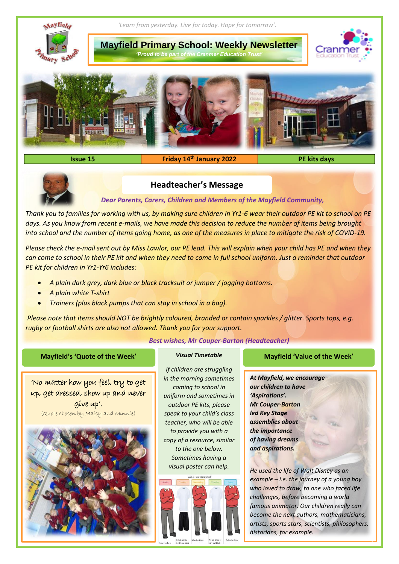

**Issue 15 Friday 14th January 2022 PE kits days**



## **Headteacher's Message**

*Dear Parents, Carers, Children and Members of the Mayfield Community,*

*Thank you to families for working with us, by making sure children in Yr1-6 wear their outdoor PE kit to school on PE*  days. As you know from recent e-mails, we have made this decision to reduce the number of items being brought *into school and the number of items going home, as one of the measures in place to mitigate the risk of COVID-19.*

*Please check the e-mail sent out by Miss Lawlor, our PE lead. This will explain when your child has PE and when they can come to school in their PE kit and when they need to come in full school uniform. Just a reminder that outdoor PE kit for children in Yr1-Yr6 includes:*

- *A plain dark grey, dark blue or black tracksuit or jumper / jogging bottoms.*
- *A plain white T-shirt*
- *Trainers (plus black pumps that can stay in school in a bag).*

*Please note that items should NOT be brightly coloured, branded or contain sparkles / glitter. Sports tops, e.g. rugby or football shirts are also not allowed. Thank you for your support.*

*Best wishes, Mr Couper-Barton (Headteacher)*

*If children are struggling in the morning sometimes coming to school in uniform and sometimes in outdoor PE kits, please speak to your child's class teacher, who will be able to provide you with a copy of a resource, similar to the one below. Sometimes having a visual poster can help.*



## **Mayfield's 'Quote of the Week'** *Visual Timetable* **Mayfield 'Value of the Week'**

*At Mayfield, we encourage our children to have 'Aspirations'. Mr Couper-Barton led Key Stage assemblies about the importance of having dreams and aspirations.*

*He used the life of Walt Disney as an example – i.e. the journey of a young boy who loved to draw, to one who faced life challenges, before becoming a world famous animator. Our children really can become the next authors, mathematicians, artists, sports stars, scientists, philosophers, historians, for example.*

7

'No matter how you feel, try to get up, get dressed, show up and never give up'. (Quote chosen by Maisy and Minnie)

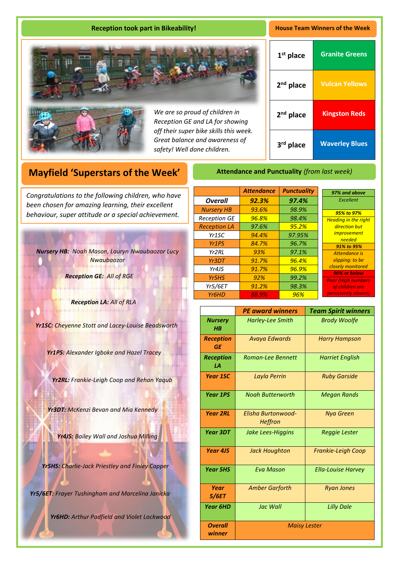## **Reception took part in Bikeability! House Team Winners of the Week**





*We are so proud of children in Reception GE and LA for showing off their super bike skills this week. Great balance and awareness of safety! Well done children.*

| $1st$ place           | <b>Granite Greens</b> |
|-----------------------|-----------------------|
| $2nd$ place           | <b>Vulcan Yellows</b> |
| 2 <sup>nd</sup> place | <b>Kingston Reds</b>  |
| 3rd place             | <b>Waverley Blues</b> |

*97% and above Excellent 95% to 97% Heading in the right direction but improvement needed 91% to 95% Attendance is slipping: to be closely monitored 90% or below Poor (High numbers of children are istently absent* 

# **Mayfield 'Superstars of the Week'**

A *been chosen for amazing learning, their excellent Congratulations to the following children, who have behaviour, super attitude or a special achievement.*

*Nursery HB: Noah Mason, Lauryn Nwaubaozor Lucy Nwaubaozor*

*Reception GE: All of RGE*

*Reception LA: All of RLA* 

*Yr1SC: Cheyenne Stott and Lacey-Louise Beadsworth*

*Yr1PS: Alexander Igboke and Hazel Tracey*

*Yr2RL: Frankie-Leigh Coop and Rehan Yaqub*

*Yr3DT: McKenzi Bevan and Mia Kennedy*

*Yr4JS: Bailey Wall and Joshua Milling*

*Yr5HS: Charlie-Jack Priestley and Finley Capper*

*Yr5/6ET: Frayer Tushingham and Marcelina Janicka*

*Yr6HD: Arthur Padfield and Violet Lockwood*

|                                | <b>Attendance</b> | <b>Punctuality</b> |
|--------------------------------|-------------------|--------------------|
| <b>Overall</b>                 | 92.3%             | 97.4%              |
| <b>Nursery HB</b>              | 93.6%             | 98.9%              |
| <b>Reception GE</b>            | 96.8%             | 98.4%              |
| <b>Reception LA</b>            | 97.6%             | 95.2%              |
| Yr1SC                          | 94.4%             | 97.95%             |
| Yr <sub>1</sub> P <sub>S</sub> | 84.7%             | 96.7%              |
| Yr2RI                          | 93%               | 97.1%              |
| Yr3DT                          | 91.7%             | 96.4%              |
| Yr4JS                          | 91.7%             | 96.9%              |
| Yr5HS                          | 92%               | 99.2%              |
| Yr5/6ET                        | 91.2%             | 98.3%              |
| Yr <sub>6</sub> HD             | 88.9%             | 96%                |

**Attendance and Punctuality** *(from last week)*

|                           | <b>PE award winners</b>       | <b>Team Spirit winners</b> |
|---------------------------|-------------------------------|----------------------------|
| <b>Nursery</b><br>$H$ $B$ | <b>Harley-Lee Smith</b>       | <b>Brody Woolfe</b>        |
| <b>Reception</b><br>GE    | <b>Avaya Edwards</b>          | <b>Harry Hampson</b>       |
| <b>Reception</b><br>LA    | <b>Roman-Lee Bennett</b>      | <b>Harriet English</b>     |
| <b>Year 1SC</b>           | Layla Perrin                  | <b>Ruby Garside</b>        |
| <b>Year 1PS</b>           | <b>Noah Butterworth</b>       | <b>Megan Rands</b>         |
| <b>Year 2RL</b>           | Elisha Burtonwood-<br>Heffron | <b>Nya Green</b>           |
| <b>Year 3DT</b>           | Jake Lees-Higgins             | Reggie Lester              |
| <b>Year 4JS</b>           | <b>Jack Houghton</b>          | <b>Frankie-Leigh Coop</b>  |
| <b>Year 5HS</b>           | <b>Eva Mason</b>              | <b>Ella-Louise Harvey</b>  |
| Year<br>5/6ET             | <b>Amber Garforth</b>         | <b>Ryan Jones</b>          |
| <b>Year 6HD</b>           | Jac Wall                      | <b>Lilly Dale</b>          |
| <b>Overall</b><br>winner  | <b>Maisy Lester</b>           |                            |